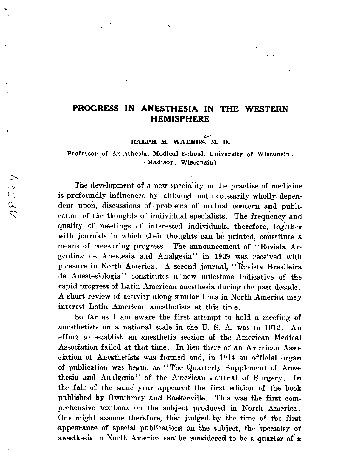•

•

 $\forall \forall S \exists \forall P$ 

•

## **PROGRESS IN ANESTHESIA IN THE WESTERN HEMISPHERE**

#### *v*  **RALPH M. WATERS, M. D.**

**Professor of Anesthesia, Medical School, University of Wisconsin. (Madison, Wisconsin)** 

The development of a new speciality in the practice of medicine is profoundly influenced by, although not necessarily wholly dependent upon, discussions of problems of mutual concern and publication of the thoughts of individual specialists. The frequency and quality of meetings of interested individuals, therefore, together with journals in which their thoughts can be printed, constitute a **means of measuring progress. The announcement of '' Revista Ar**gentina de Anestesia and Analgesia" in 1939 was received with pleasure in North America. A second journal, "Revista Brasileira **de Anestesiologia'' constitutes a new 1nilestone indicative of the**  rapid progress of Latin American anesthesia during the past decade. A short review of activity along similar lines in North America may **interest Latin American anesthetists at this time.**  So far as I am aware the first attempt to hold a meeting of anesthetists on a national scale in the U.S. A. was in 1912. An **effort** to establish an anesthetic section of the American Medical Association failed at that time. ln lieu there of an American Association of Anesthetists was formed ànd, in 1914 an official organ of publication was begun as '' Thc Quarterly Supplement of Anesthesia and Analgesia" of the American Journal of Surgery. In the fall of the same year appeared the first edition of the book published by Gwathmey and Baskerville. This was the first comprehensíve textbool, on the subject produced in North America. One might assume therefore, that judged- by the time of the first appearance of special publications on the subject, the specialty of anesthesia in North America can be considered to be a quarter of a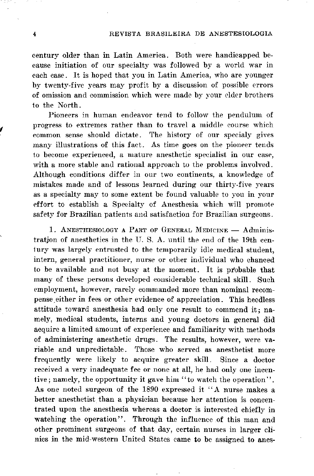*(* 

century older than in Latin America. Both were handicapped because initiation of our specialty was followed by a world war in each case. It is hoped that you in Latin America, who are younger by twenty-five years may profit by a discussion of possible errors of omission and commission which were made by your elder brothers to the North.

Pioneers in human endeavor tend to follow the pendulum of progress to extremes rather than to travel a middle course which common sense should dictate. The history of our specialy gives many illustrations of this fact. As time goes on the pioneer tends to become experienced, a mature anesthetic specialist in our case, with a more stable and rational approach to the problems involved. Although conditions differ in our two continents, a knowledge of mistakes made and of lessons learned during our thirty-five years as a specialty may to some extent be found valuable to you in your effort to establish a Specialty of Anesthesia which will promote safety for Brazilian patients and satisfaction for Brazilian surgeons.

1. ANESTHESIOLOGY A PART OF GENERAL MEDICINE - Administration of anesthetics in the U.S.A. until the end of the 19th century was largely entrusted to the temporarily idle medical student, intern, general practitioner, nurse or other individual who chanced to be available and not busy at the moment. It is probable that many of these persons developed considerable technical skill. Such employment, however, rarely commanded more than nominal recompense either in fees or other evidence of appreciation. This heedless attitude toward anesthesia had only one result to commend it; namely, medical students, interns and young doctors in general did acquire a limited amount of experience and familiarity with methods of administering anesthetic drugs. The results, however, were variable and unpredictable. Those who served as anesthetist more frequently were likely to acquire greater skill. Since a doctor received a very inadequate fee or none at all, he had only one incentive; namely, the opportunity it gave him "to watch the operation". As one noted surgeon of the 1890 expressed it "A nurse makes a better anesthetist than a physician because her attention is concentrated upon the anesthesia whereas a doctor is interested chiefly in watching the operation''. Through the influence of this man and other prominent surgeons of that day, certain nurses in larger clinics in the mid-western United States came to be assigned to anes-

•

and the control of

i wa shekara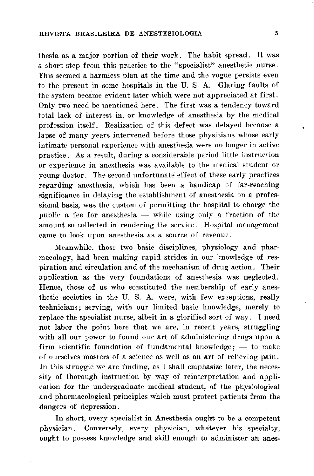thesia as a major portion of their work. The habit spread. It was a short step from this practice to the "specialist" anesthetic nurse. This seemed a harmless plan at the time and the vogue persists even to the present in some hospitals in the U.S.A. Glaring faults of the system became evident later which were not appreciated at first. Only two need be mentioned here. The first was a tendency toward total lack of interest in, or knowledge of anesthesia by the medical profession itself. Realization of this defect was delayed because a lapse of many years intervened before those physicians whose early intimate personal experience with anesthesia were no longer in active practice. As a result, during a considerable period little instruction or experience in anesthesia was available to the medical student or young doctor. The second unfortunate effect of these early practices regarding anesthesia, which has been a handicap of far-reaching significance in delaying the establishment of anesthesia on a professional basis, was the custom of permitting the hospital to charge the public a fee for an esthesia  $-$  while using only a fraction of the amount so collected in rendering the service. Hospital management came to look upon anesthesia as a source of revenue.

Meanwhile, those two basic disciplines, physiology and phar-

 $\pmb{\mathfrak{r}}$ 

macology, had been making rapid strides in our knowledge of respiration and circulation and of the mechanism of drug action. Their application as the very foundations of anesthesia was neglected. Hence, those of us who constituted the nembership of early anesthetic societies in the U.S. A. were, with few exceptions, really technicians; serving, with our limited basic knowledge, merely to replace the specialist nurse, albeit in a glorified sort of way. I need not labor the point here that we are, in recent years, struggling with all our power to found our art of administering drugs upon a firm scientific foundation of fundamental knowledge;  $-$  to make of ourselves masters of a science as well as an art of relieving pain. In this struggle we are finding, as I shall emphasize later, the necessity of thorough instruction by way of reinterpretation and application for the undergraduate medical student, of the physiological and pharmacological principles which must protect patients from the dangers of depression.

In short, overy specialist in Anesthesia ought to be a competent physician. Conversely, every physician, whatever his specialty, ought to possess knowledge and skill enough to administer an anes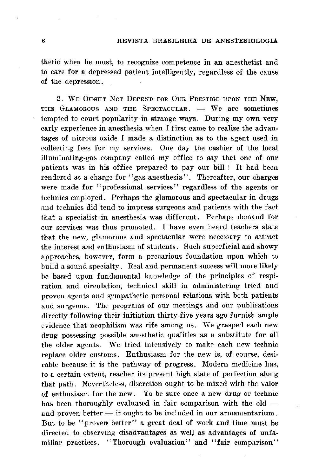thetic when he must, to recognize competence in an anesthetist and to care for a depressed patient intelligently, regardless of the cause of the depression.

2. WE OUGHT NOT DEPEND FOR OUR PRESTIGE UPON THE NEW, THE GLAMOROUS AND THE SPECTACULAR.  $-$  We are sometimes tempted to court popularity in strange ways. During my own very early experience in anesthesia when I first came to realize the advantages of nitrous oxide I made a distinction as to the agent used in collecting fees for my services. One day the cashier of the local illuminating-gas company called my office to say that one of our patients was in his office prepared to pay our bili ! It had been rendered as a charge for ''gas anesthesia''. Thereafter, our charges were made for "professional services" regardless of the agents or 1echnics employed. Perhaps the glamorous and spectacular in drugs and technics did tend to impress surgeons and patients with the fact that a specialist in anesthesia was different. Perhaps demand for our services was thus promoted. I have even heard teachers state that the new, glamorous and spectacular were necessary to attract the interest and enthusiasm of students. Such superficial and showy approaches, however, form a precarious foundation upon which to build a sound specialty. Real and permanent success will more likely be based upon fundamental knowledge of the principies of respiration and circulation, technical skill in administering tried and proven agents and sympathetic personal relations with both patients and surgeons. The programs of our meetings and our publications directly following their initiation thirty-five years ago furnish ample evidence that neophilism was rife among us. We grasped each new drug possessing possible anesthetic qualities as a substitute for all the older agents. We tried intensively to make each new technic replace older customs. Enthusiasm for the new is, of course, desirable because it is the pathway of progress. Modern medicine has, to a certain extent, reaeher its present high state of perfection along that path. Nevertheless, discretion ought to be mixed with the valor of enthusiasm for the new. To be sure once a new drug or technic has been thoroughly evaluated in fair comparison with the old  $$ and proven better  $-$  it ought to be included in our armamentarium. But to be "proven better" a great deal of work and time must be directed to observing disadvantages as well as advantages of unfamiliar practices. "Thorough evaluation" and "fair comparison"

 $\pm$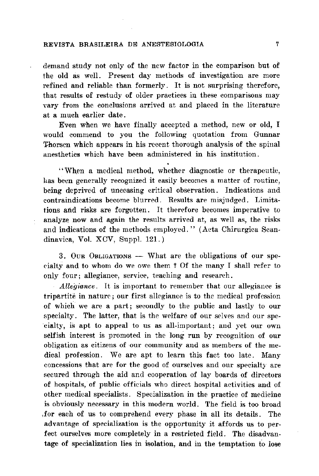demand study not only of the new factor in the comparison but of the old as well. Present day methods of investigation are more refined and reliable than formerly. It is not surprising therefore, that results of restudy of older practices in these comparisons may vary from the conclusions arrived at and placed in the literature at a much earlier date.

Even when we have finally accepted a method, new or old, I would commend to you the following quotation from Gunnar Thorsen which appears in his recent thorough analysis of the spinal anesthetics which have been administered in his institution.

"When a medical method, whether diagnostic or therapeutic, has been generally recognized it easily becomes a matter of routine, being deprived of unceasing critical observation. Indications and contraindications become blurred. Results are misjudged. Limitations and risks are forgotten. It therefore becomes imperative to analyze now and again the results arrived at, as well as, the risks and indications of the methods employed." (Acta Chirurgica Scandinavica, Vol. XCV, Suppl. 121.)

3. OUR OBLIGATIONS — What are the obligations of our specialty and to whom do we owe them? Of the many I shall refer to only four; allegiance, service, teaching and research.

*Allegiance*. It is important to remember that our allegiance is tripartite in nature; our first allegiance is to the medical profession of which we are a part; secondly to the public and lastly to our specialty. The latter, that is the welfare of our selves and our speeialty, is apt to appeal to us as all-important; and yet our own selfish interest is promoted in the long run by recognition of our obligation as citizens of our community and as members of the medical profession. We are apt to learn this fact too late. Many concessions that are for the good of ourselves and our specialty are secured through the aid and cooperation of lay boards of directors of hospitals, of public officials who direct hospital activities and of other medical specialists. Specialization in the practice of medicine is obviously necessary in this modern world. The field is too broad for each of us to comprehend every phase in all its details. The advantage of specialization is the opportunity it affords us to perfect ourselves more completely in a restricted field. The disadvantage of specialization lies in isolation, and in the temptation to lose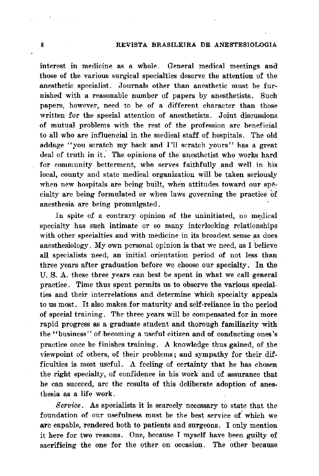•

#### . 8 REVISTA BRASILEIRA DE ANESTESIOLOGIA

interest in medicine as a whole. General medical meetings and those of the various surgical specialties deserve the attention of the anesthetic specialist. Journals other than anesthetic must be furnished with a reasonable number of papers by anesthetists. Such **papers, however, need to be of a different character than those**  written for the special attention of anesthetists. Joint discussions of mutual problems with the rest of the profession are beneficial to all who are influencial in the medical staff of hospitals. The old addage "you scratch my back and I'll scratch yours" has a great deal of truth in it. The opinions of the anesthetist who works hard **for community betterment, who serves faithfully and well in his local, county and state medical organization will be taken seriously**  when new hospitals are being built, when attitudes toward our spécialty are being formulated or when laws governing the practice of anesthesia are being promulgated.

In spite of a contrary opinion of the uninitiated, no medical **specialty has such intimate or so many interlocking relationships with other specialties and with medicine in its broadest sense as does**  • **anesthesiology. My own personal opinion is that we need, as I believe**  all specialists need, an initial orientation period of not less than three years after graduation before we choose our specialty. ln the U. S. A. these three years can best be spent in what we call general **practice. Time thus spent permits us to observe the various special**ties and their interrelations and determine which specialty appeals to us most. It also makes for maturity and self-reliance in the period of special training. The three years will be compensated for in more rapid progress as a graduate student and thorough familiarity with **the ''business'' of-becoming·a useful citizen and of conducting ones's practice once he finishes training.** *A* **knowledge thus gained, of .the**  viewpoint of others, of their problems; and sympathy for their difficulties is most useful. A feeling of certainty that he has chosen the right specialty, of confidence in his work and of assurance that he can succeed, are the results of this deliberate adoption of anesthesia as a life work.

*Service.* As specialists it is scarcely necessary to state that the foundation of our usefulness must be the best service of which we **are capable, rendered both to patients and surgeons. I only mention**  it here for two reasons. One, because I myself have been guilty of sacrificing the one for the other on occasion. The other because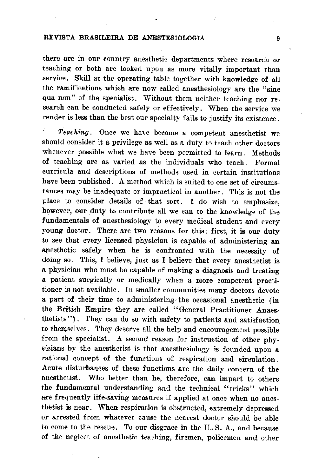#### **REVISTA BRASILEIRA DE ANESTESIOLOGIA 9**

**there are in our country anesthetic departments where research or**  teaching or both are looked upon as more vitally important than service. Skill at the operating table together with knowledge of ali the ramifications which are now called anesthesiology are the "sine qua non" of the specialist. Without them neither teaching nor research can be conducted safely or effectively. When the service we render is less than the best our specialty fails to justify its existence.

*Teaching.* **Once we have become a competent anesthetist we**  should consider it a privilege as well as a duty to teach other doctors whenever possible what we have been permitted to learn. Methods **of teaching are as varied as the individuals who teach. Formal curricula and descriptions of methods used in certain institutions**  have been published. A method which is suited to one set of circums**tances may be inadequate or impractical in another. This is not the**  place to consider details of · that sort. I do wish to emphasize, however, our duty to contribute all we can to the knowledge of the fundamentais of anesthesiology to every medical student and every • young doctor. There are two reasons for this: first, it is our duty to see that every licensed physician is capable of administering an apesthetic safely when he is confronted with the necessity of doing so. This, I believe, just as I believe that every anesthetist is a physician who must be capable of making a diagnosis and treating a patient surgically or medically when a more competent practitioner is not available. In smaller communities many doctors devote a. part of their time to administering the occasional anesthetic ( in the British Empire they are called '' General Practitioner Anaes thetists''). They can do so with safety to patients and satisfaction. to themselves. They deserve ali the help and encouragement possible from the specialist. A second reason for instruction of other physicians by the anesthetist is that anesthesiology is founded upon a rational concept of the functions of respiration and circulation. Acute disturbances of these functions are the daily concern of the **anesthetist. Who better than he, therefore, can impart to others the fundamental understanding and the technical '' tricks'' which**  • are frequently life-saving measures if applied at once when no anes**thetist is near. When respiration is obstructed, extremely depressed or arrested from whatever cause the nearest doctor should be able to come to the rescue. To our disgrace in the U. S. A., and because**  of the neglect of anesthetic teaching, firemen, policemen and other

•

•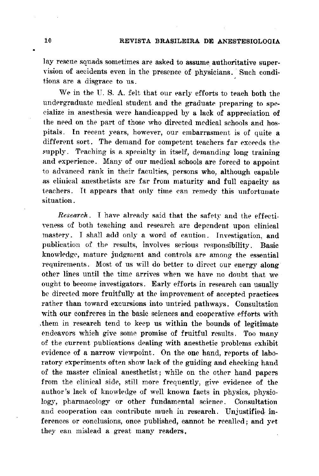lay rescue squads sometimes are asked to assume authoritative supervision of accidents even in the presence of physicians. Such conditions are a disgrace to us.

We in the U.S. A. felt that our early efforts to teach both the undergraduate medical student and the graduate preparing to specialize in anesthesia were handicapped by a lack of appreciation of the need on the part of those who directed medical schools and hospitals. In recent years, however, our embarrasment is of quite a different sort. The demand for competent teachers far exceeds the supply. Teaching is a specialty in itself, demanding long training and experience. Many of our medical schools are forced to appoint to advanced rank in their faculties, persons who, although capable as clinical anesthetists are far from maturity and full capacity as teachers. It appears that only time can remedy this unfortunate situation.

Research. I have already said that the safety and the effectiveness of both teaching and research are dependent upon clinical mastery. I shall add only a word of caution. Investigation, and publication of the results, involves serious responsibility. Basic knowledge, mature judgment and controls are among the essential requirements. Most of us will do better to direct our energy along other lines until the time arrives when we have no doubt that we ought to become investigators. Early efforts in research can usually be directed more fruitfully at the improvement of accepted practices rather than toward excursions into untried pathways. Consultation with our confreres in the basic sciences and cooperative efforts with them in research tend to keep us within the bounds of legitimate. endeavors which give some promise of fruitful results. Too many of the current publications dealing with anesthetic problems exhibit evidence of a narrow viewpoint. On the one hand, reports of laboratory experiments often show lack of the guiding and checking hand of the master clinical anesthetist; while on the other hand papers from the elinical side, still more frequently, give evidence of the author's lack of knowledge of well known facts in physics, physiology, pharmacology or other fundamental science. Consultation and cooperation can contribute much in research. Unjustified inferences or conclusions, once published, cannot be recalled; and yet they can mislead a great many readers.

 $\bullet$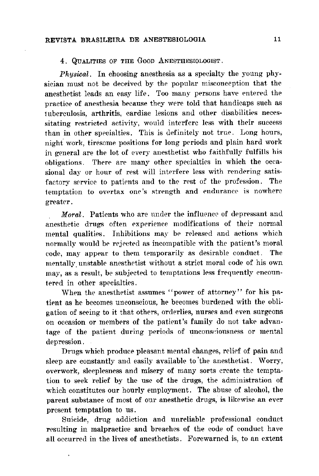### 4. QUALITIES OF THE GOOD ANESTHESIOLOGIST.

*Physical*. In choosing anesthesia as a specialty the young physician must not be deceived by the popular misconception that the anesthetist leads an easy life. Too many persons have entered the practice of anesthesia because they were told that handicaps such as tuberculosis, arthritis, cardiac lesions and other disabilities necessitating restricted activity, would interfere less with their success than in other specialties. This is definitely not true. Long hours, night work, tiresome positions for long periods and plain hard work in general are the lot of every anesthetist who faithfully fulfills his obligations. There are many other specialties in which the occasional day or hour of rest will interfere less with rendering satisfactory service to patients and to the rest of the profession. The temptation to overtax one's strength and endurance is nowhere greater.

Moral. Patients who are under the influence of depressant and anesthetic drugs often experience modifications of their normal mental qualities. Inhibitions may be released and actions which normally would be rejected as incompatible with the patient's moral

code, may appear to them temporarily as desirable conduct. The mentally unstable anesthetist without a strict moral code of his own may, as a result, be subjected to temptations less frequently encountered in other specialties.

When the anesthetist assumes "power of attorney" for his patient as he becomes unconscious, he becomes burdened with the obligation of seeing to it that others, orderlies, nurses and even surgeons on occasion or members of the patient's family do not take advantage of the patient during periods of unconsciousness or mental depression.

Drugs which produce pleasant mental changes, relief of pain and sleep are constantly and easily available to the anesthetist. Worry, overwork, sleeplesness and misery of many sorts create the temptation to seek relief by the use of the drugs, the administration of which constitutes our hourly employment. The abuse of alcohol, the parent substance of most of our anesthetic drugs, is likewise an ever present temptation to us.

Suicide, drug addiction and unreliable professional conduct resulting in malpractice and breaches of the code of conduct have all occurred in the lives of anesthetists. Forewarned is, to an extent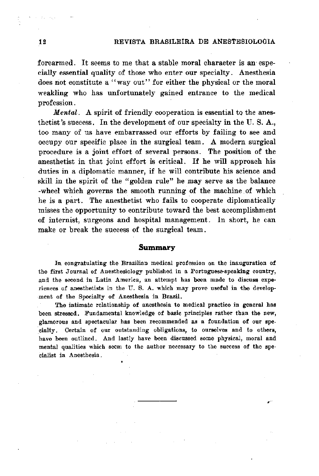#### 12 REVISTA BRASILEIRA DE ANESTESIOLOGIA

forearmed. It seems to me that a stable moral character is an especially essential quality of those who enter our specialty. Anesthesia does not constitute a "way out" for either the physical or the moral weakling who has unfortunately gained entrance to the medical profession.

Mental. A spirit of friendly cooperation is essential to the anesthetist's success. ln the development of our specialty in the U. S. A., too many of us have embarrassed our efforts by failing to see and occupy our specific place in the surgical team. A modern surgical procedure is a joint effort of severa! persons. The position of the anesthetist in that joint effort is critical. If he will approach his duties in a diplomatic manner, if he will contribute his science and skill in the spirit of the "golden rule" he may serve as the balance -wheel which governs the smooth running of the machine of which he is a part. The anesthetist who fails to cooperate diplomatically misses the opportunity to contribute toward the best accomplishment of internist, surgeons and hospital management. In short, he can make or break the success of the surgical team.

#### **Summary**

**START START** 

In congratulating the Brazilian medical profession on the inauguration of the first Journal of Anesthesiology published in a Portuguese-speaking country, and the second in Latin America, an attempt has been made to discuss experiences of anesthetists in the U.S. A. which may prove useful in the development of the Specialty of Anesthesia in Brazil.

The intimate relationship of anesthesia to medical practice in general has been stressed. Fundamental knowledge of basic principles rather than the new, glamorous and spectacular has been recommended as a foundation of our spe-\_cialty. Certain of our outstanding obligations, to ourselves and to others, have been outlined. And Iastly have been discussed some physical, moral and mental qualities which seem to the author necessary to the success of the specialist in Anesthesia .

e C

'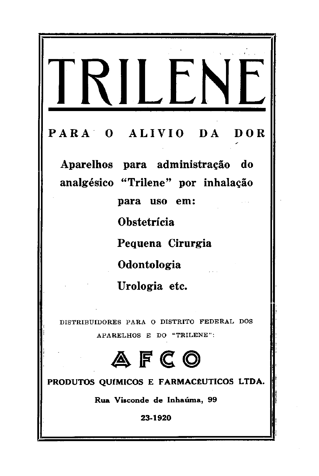# **PARA O ALIVIO DA DOR Aparelhos para administração do analgésico ''Triiene'' por inhalação para uso em: Obstetrícia Pequena Cirurgia**